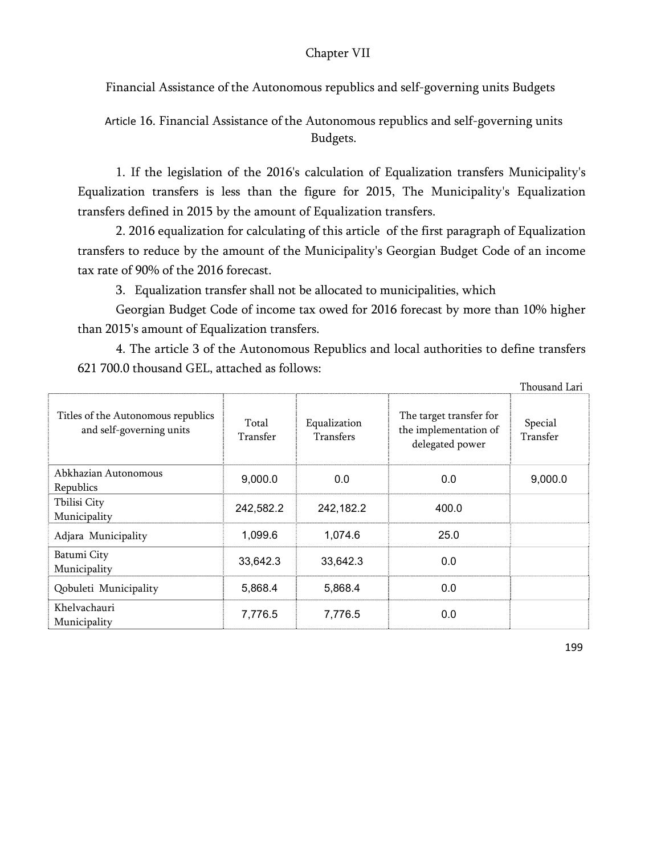## Chapter VII

Financial Assistance of the Autonomous republics and self-governing units Budgets

Article 16. Financial Assistance of the Autonomous republics and self-governing units Budgets.

1. If the legislation of the 2016's calculation of Equalization transfers Municipality's Equalization transfers is less than the figure for 2015, The Municipality's Equalization transfers defined in 2015 by the amount of Equalization transfers.

2. 2016 equalization for calculating of this article of the first paragraph of Equalization transfers to reduce by the amount of the Municipality's Georgian Budget Code of an income tax rate of 90% of the 2016 forecast.

3. Equalization transfer shall not be allocated to municipalities, which

Georgian Budget Code of income tax owed for 2016 forecast by more than 10% higher than 2015's amount of Equalization transfers.

4. The article 3 of the Autonomous Republics and local authorities to define transfers 621 700.0 thousand GEL, attached as follows:

|                                                                |                   |                                  |                                                                     | Thousand Lari       |
|----------------------------------------------------------------|-------------------|----------------------------------|---------------------------------------------------------------------|---------------------|
| Titles of the Autonomous republics<br>and self-governing units | Total<br>Transfer | Equalization<br><b>Transfers</b> | The target transfer for<br>the implementation of<br>delegated power | Special<br>Transfer |
| Abkhazian Autonomous<br>Republics                              | 9,000.0           | 0.0                              | 0.0                                                                 | 9,000.0             |
| Tbilisi City<br>Municipality                                   | 242,582.2         | 242,182.2                        | 400.0                                                               |                     |
| Adjara Municipality                                            | 1,099.6           | 1,074.6                          | 25.0                                                                |                     |
| Batumi City<br>Municipality                                    | 33,642.3          | 33,642.3                         | 0.0                                                                 |                     |
| Qobuleti Municipality                                          | 5,868.4           | 5,868.4                          | 0.0                                                                 |                     |
| Khelvachauri<br>Municipality                                   | 7,776.5           | 7,776.5                          | 0.0                                                                 |                     |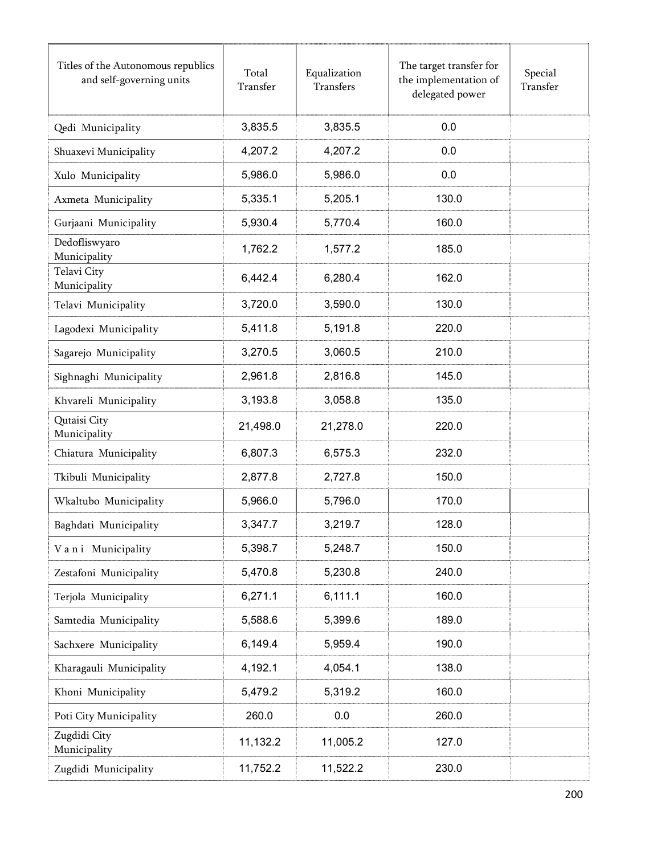| Titles of the Autonomous republics<br>and self-governing units | Total<br>Transfer | Equalization<br>Transfers | The target transfer for<br>the implementation of<br>delegated power | Special<br>Transfer |
|----------------------------------------------------------------|-------------------|---------------------------|---------------------------------------------------------------------|---------------------|
| Qedi Municipality                                              | 3,835.5           | 3,835.5                   | 0.0                                                                 |                     |
| Shuaxevi Municipality                                          | 4,207.2           | 4,207.2                   | 0.0                                                                 |                     |
| Xulo Municipality                                              | 5,986.0           | 5,986.0                   | 0.0                                                                 |                     |
| Axmeta Municipality                                            | 5,335.1           | 5,205.1                   | 130.0                                                               |                     |
| Gurjaani Municipality                                          | 5,930.4           | 5,770.4                   | 160.0                                                               |                     |
| Dedofliswyaro<br>Municipality                                  | 1,762.2           | 1,577.2                   | 185.0                                                               |                     |
| Telavi City<br>Municipality                                    | 6,442.4           | 6,280.4                   | 162.0                                                               |                     |
| Telavi Municipality                                            | 3,720.0           | 3,590.0                   | 130.0                                                               |                     |
| Lagodexi Municipality                                          | 5,411.8           | 5,191.8                   | 220.0                                                               |                     |
| Sagarejo Municipality                                          | 3,270.5           | 3,060.5                   | 210.0                                                               |                     |
| Sighnaghi Municipality                                         | 2,961.8           | 2,816.8                   | 145.0                                                               |                     |
| Khvareli Municipality                                          | 3,193.8           | 3,058.8                   | 135.0                                                               |                     |
| Qutaisi City<br>Municipality                                   | 21,498.0          | 21,278.0                  | 220.0                                                               |                     |
| Chiatura Municipality                                          | 6,807.3           | 6,575.3                   | 232.0                                                               |                     |
| Tkibuli Municipality                                           | 2,877.8           | 2,727.8                   | 150.0                                                               |                     |
| Wkaltubo Municipality                                          | 5,966.0           | 5,796.0                   | 170.0                                                               |                     |
| Baghdati Municipality                                          | 3,347.7           | 3,219.7                   | 128.0                                                               |                     |
| Vani Municipality                                              | 5,398.7           | 5,248.7                   | 150.0                                                               |                     |
| Zestafoni Municipality                                         | 5,470.8           | 5,230.8                   | 240.0                                                               |                     |
| Terjola Municipality                                           | 6,271.1           | 6,111.1                   | 160.0                                                               |                     |
| Samtedia Municipality                                          | 5,588.6           | 5,399.6                   | 189.0                                                               |                     |
| Sachxere Municipality                                          | 6,149.4           | 5,959.4                   | 190.0                                                               |                     |
| Kharagauli Municipality                                        | 4,192.1           | 4,054.1                   | 138.0                                                               |                     |
| Khoni Municipality                                             | 5,479.2           | 5,319.2                   | 160.0                                                               |                     |
| Poti City Municipality                                         | 260.0             | 0.0                       | 260.0                                                               |                     |
| Zugdidi City<br>Municipality                                   | 11,132.2          | 11,005.2                  | 127.0                                                               |                     |
| Zugdidi Municipality                                           | 11,752.2          | 11,522.2                  | 230.0                                                               |                     |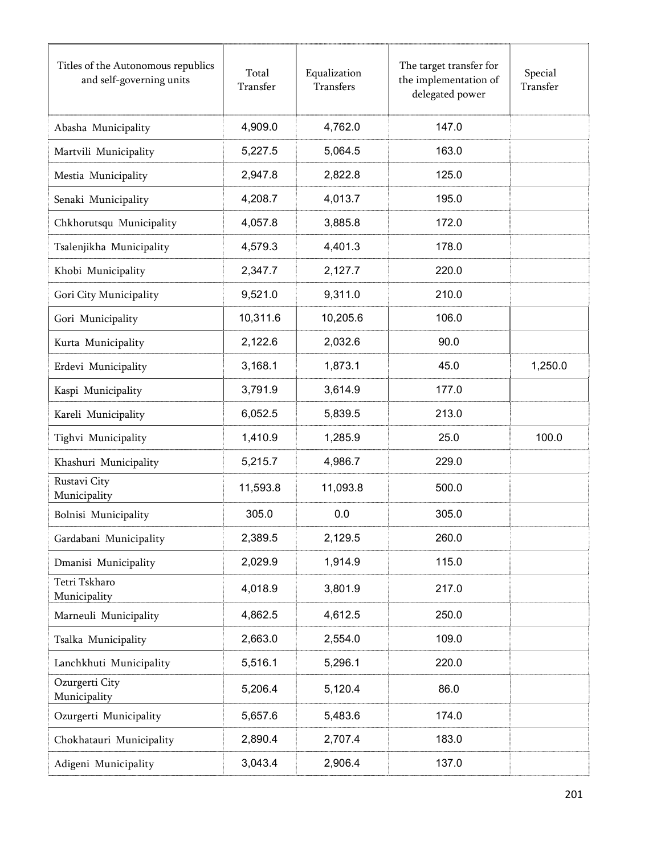| Titles of the Autonomous republics<br>and self-governing units | Total<br>Transfer | Equalization<br><b>Transfers</b> | The target transfer for<br>the implementation of<br>delegated power | Special<br>Transfer |
|----------------------------------------------------------------|-------------------|----------------------------------|---------------------------------------------------------------------|---------------------|
| Abasha Municipality                                            | 4,909.0           | 4,762.0                          | 147.0                                                               |                     |
| Martvili Municipality                                          | 5,227.5           | 5,064.5                          | 163.0                                                               |                     |
| Mestia Municipality                                            | 2,947.8           | 2,822.8                          | 125.0                                                               |                     |
| Senaki Municipality                                            | 4,208.7           | 4,013.7                          | 195.0                                                               |                     |
| Chkhorutsqu Municipality                                       | 4,057.8           | 3,885.8                          | 172.0                                                               |                     |
| Tsalenjikha Municipality                                       | 4,579.3           | 4,401.3                          | 178.0                                                               |                     |
| Khobi Municipality                                             | 2,347.7           | 2,127.7                          | 220.0                                                               |                     |
| Gori City Municipality                                         | 9,521.0           | 9,311.0                          | 210.0                                                               |                     |
| Gori Municipality                                              | 10,311.6          | 10,205.6                         | 106.0                                                               |                     |
| Kurta Municipality                                             | 2,122.6           | 2,032.6                          | 90.0                                                                |                     |
| Erdevi Municipality                                            | 3,168.1           | 1,873.1                          | 45.0                                                                | 1,250.0             |
| Kaspi Municipality                                             | 3,791.9           | 3,614.9                          | 177.0                                                               |                     |
| Kareli Municipality                                            | 6,052.5           | 5,839.5                          | 213.0                                                               |                     |
| Tighvi Municipality                                            | 1,410.9           | 1,285.9                          | 25.0                                                                | 100.0               |
| Khashuri Municipality                                          | 5,215.7           | 4,986.7                          | 229.0                                                               |                     |
| Rustavi City<br>Municipality                                   | 11,593.8          | 11,093.8                         | 500.0                                                               |                     |
| Bolnisi Municipality                                           | 305.0             | 0.0                              | 305.0                                                               |                     |
| Gardabani Municipality                                         | 2,389.5           | 2,129.5                          | 260.0                                                               |                     |
| Dmanisi Municipality                                           | 2,029.9           | 1,914.9                          | 115.0                                                               |                     |
| Tetri Tskharo<br>Municipality                                  | 4,018.9           | 3,801.9                          | 217.0                                                               |                     |
| Marneuli Municipality                                          | 4,862.5           | 4,612.5                          | 250.0                                                               |                     |
| Tsalka Municipality                                            | 2,663.0           | 2,554.0                          | 109.0                                                               |                     |
| Lanchkhuti Municipality                                        | 5,516.1           | 5,296.1                          | 220.0                                                               |                     |
| Ozurgerti City<br>Municipality                                 | 5,206.4           | 5,120.4                          | 86.0                                                                |                     |
| Ozurgerti Municipality                                         | 5,657.6           | 5,483.6                          | 174.0                                                               |                     |
| Chokhatauri Municipality                                       | 2,890.4           | 2,707.4                          | 183.0                                                               |                     |
| Adigeni Municipality                                           | 3,043.4           | 2,906.4                          | 137.0                                                               |                     |